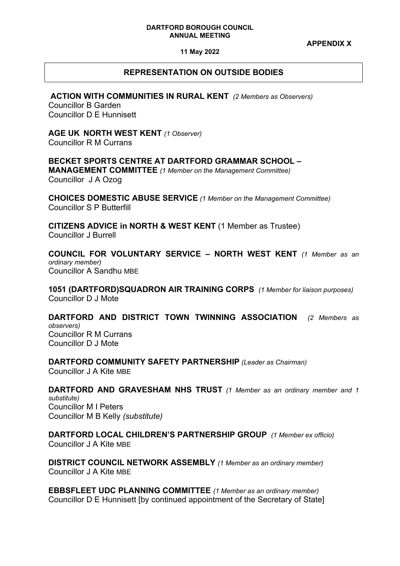#### **DARTFORD BOROUGH COUNCIL ANNUAL MEETING**

**APPENDIX X**

**11 May 2022** 

# **REPRESENTATION ON OUTSIDE BODIES**

**ACTION WITH COMMUNITIES IN RURAL KENT** *(2 Members as Observers)*

Councillor B Garden Councillor D E Hunnisett

**AGE UK****NORTH WEST KENT** *(1 Observer)* Councillor R M Currans

**BECKET SPORTS CENTRE AT DARTFORD GRAMMAR SCHOOL – MANAGEMENT COMMITTEE** *(1 Member on the Management Committee)* Councillor J A Ozog

**CHOICES DOMESTIC ABUSE SERVICE** *(1 Member on the Management Committee)*  Councillor S P Butterfill

**CITIZENS ADVICE in NORTH & WEST KENT** (1 Member as Trustee) Councillor J Burrell

**COUNCIL FOR VOLUNTARY SERVICE – NORTH WEST KENT** *(1 Member as an ordinary member)* Councillor A Sandhu MBE

**1051 (DARTFORD)SQUADRON AIR TRAINING CORPS** *(1 Member for liaison purposes)* Councillor D J Mote

**DARTFORD AND DISTRICT TOWN TWINNING ASSOCIATION** *(2 Members as observers)* Councillor R M Currans Councillor D J Mote

**DARTFORD COMMUNITY SAFETY PARTNERSHIP** *(Leader as Chairman)* Councillor J A Kite MBE

**DARTFORD AND GRAVESHAM NHS TRUST** *(1 Member as an ordinary member and 1 substitute)* Councillor M I Peters Councillor M B Kelly *(substitute)*

**DARTFORD LOCAL CHILDREN'S PARTNERSHIP GROUP** *(1 Member ex officio)* Councillor J A Kite MBE

**DISTRICT COUNCIL NETWORK ASSEMBLY** *(1 Member as an ordinary member)* Councillor J A Kite MBE

**EBBSFLEET UDC PLANNING COMMITTEE** *(1 Member as an ordinary member)* Councillor D E Hunnisett [by continued appointment of the Secretary of State]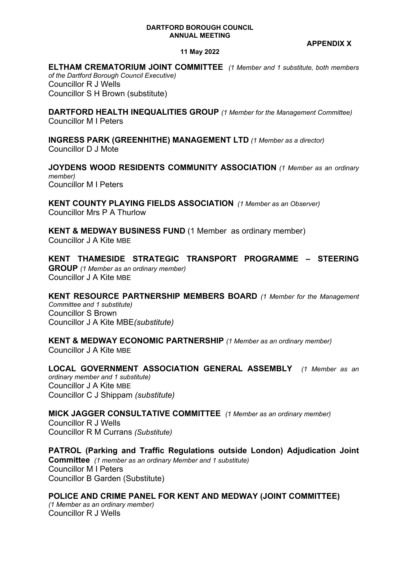### **DARTFORD BOROUGH COUNCIL ANNUAL MEETING**

**APPENDIX X**

## **11 May 2022**

**ELTHAM CREMATORIUM JOINT COMMITTEE** *(1 Member and 1 substitute, both members of the Dartford Borough Council Executive)* Councillor R J Wells

Councillor S H Brown (substitute)

**DARTFORD HEALTH INEQUALITIES GROUP** *(1 Member for the Management Committee)* Councillor M I Peters

**INGRESS PARK (GREENHITHE) MANAGEMENT LTD** *(1 Member as a director)* Councillor D J Mote

**JOYDENS WOOD RESIDENTS COMMUNITY ASSOCIATION** *(1 Member as an ordinary member)* Councillor M I Peters

**KENT COUNTY PLAYING FIELDS ASSOCIATION** *(1 Member as an Observer)* Councillor Mrs P A Thurlow

**KENT & MEDWAY BUSINESS FUND** (1 Member as ordinary member) Councillor J A Kite MBE

**KENT THAMESIDE STRATEGIC TRANSPORT PROGRAMME – STEERING GROUP** *(1 Member as an ordinary member)* Councillor J A Kite MBE

**KENT RESOURCE PARTNERSHIP MEMBERS BOARD** *(1 Member for the Management Committee and 1 substitute)* Councillor S Brown Councillor J A Kite MBE*(substitute)*

**KENT & MEDWAY ECONOMIC PARTNERSHIP** *(1 Member as an ordinary member)* Councillor J A Kite MBE

**LOCAL GOVERNMENT ASSOCIATION GENERAL ASSEMBLY** *(1 Member as an ordinary member and 1 substitute)* Councillor J A Kite MBE Councillor C J Shippam *(substitute)*

**MICK JAGGER CONSULTATIVE COMMITTEE** *(1 Member as an ordinary member)* Councillor R J Wells

Councillor R M Currans *(Substitute)*

**PATROL (Parking and Traffic Regulations outside London) Adjudication Joint Committee** *(1 member as an ordinary Member and 1 substitute)* Councillor M I Peters Councillor B Garden (Substitute)

**POLICE AND CRIME PANEL FOR KENT AND MEDWAY (JOINT COMMITTEE)**

*(1 Member as an ordinary member)* Councillor R J Wells